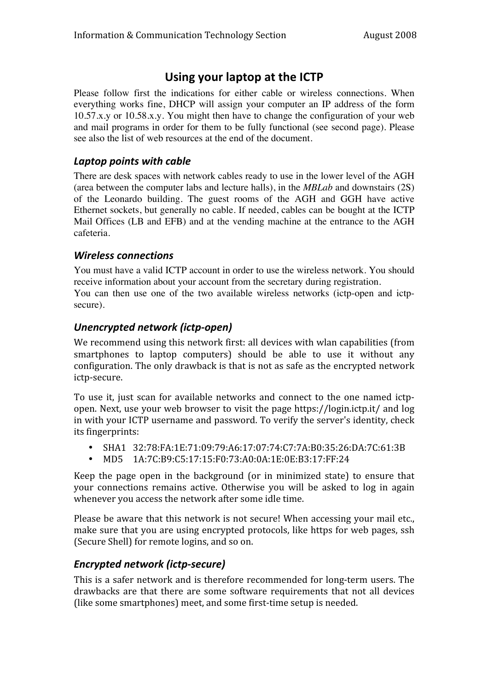# **Using your laptop at the ICTP**

Please follow first the indications for either cable or wireless connections. When everything works fine, DHCP will assign your computer an IP address of the form 10.57.x.y or 10.58.x.y. You might then have to change the configuration of your web and mail programs in order for them to be fully functional (see second page). Please see also the list of web resources at the end of the document.

#### *Laptop points with cable*

There are desk spaces with network cables ready to use in the lower level of the AGH (area between the computer labs and lecture halls), in the *MBLab* and downstairs (2S) of the Leonardo building. The guest rooms of the AGH and GGH have active Ethernet sockets, but generally no cable. If needed, cables can be bought at the ICTP Mail Offices (LB and EFB) and at the vending machine at the entrance to the AGH cafeteria.

### *Wireless connections*

You must have a valid ICTP account in order to use the wireless network. You should receive information about your account from the secretary during registration. You can then use one of the two available wireless networks (ictp-open and ictpsecure).

## *Unencrypted network (ictp‐open)*

We recommend using this network first: all devices with wlan capabilities (from smartphones to laptop computers) should be able to use it without any configuration. The only drawback is that is not as safe as the encrypted network ictp‐secure.

To use it, just scan for available networks and connect to the one named ictpopen. Next, use your web browser to visit the page https://login.ictp.it/ and log in with your ICTP username and password. To verify the server's identity, check its fingerprints:

- SHA1 32:78:FA:1E:71:09:79:A6:17:07:74:C7:7A:B0:35:26:DA:7C:61:3B
- MD5 1A:7C:B9:C5:17:15:F0:73:A0:0A:1E:0E:B3:17:FF:24

Keep the page open in the background (or in minimized state) to ensure that your connections remains active. Otherwise you will be asked to log in again whenever you access the network after some idle time.

Please be aware that this network is not secure! When accessing your mail etc., make sure that you are using encrypted protocols, like https for web pages, ssh (Secure Shell) for remote logins, and so on.

## *Encrypted network (ictp‐secure)*

This is a safer network and is therefore recommended for long‐term users. The drawbacks are that there are some software requirements that not all devices (like some smartphones) meet, and some first-time setup is needed.